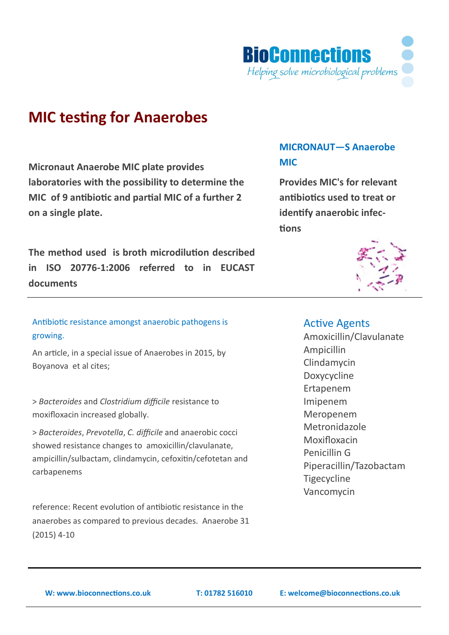

# **MIC testing for Anaerobes**

**Micronaut Anaerobe MIC plate provides laboratories with the possibility to determine the MIC of 9 antibiotic and partial MIC of a further 2 on a single plate.**

**The method used is broth microdilution described in ISO 20776-1:2006 referred to in EUCAST documents**

# Antibiotic resistance amongst anaerobic pathogens is growing.

An article, in a special issue of Anaerobes in 2015, by Boyanova et al cites;

> *Bacteroides* and *Clostridium difficile* resistance to moxifloxacin increased globally.

> *Bacteroides*, *Prevotella*, *C. difficile* and anaerobic cocci showed resistance changes to amoxicillin/clavulanate, ampicillin/sulbactam, clindamycin, cefoxitin/cefotetan and carbapenems

reference: Recent evolution of antibiotic resistance in the anaerobes as compared to previous decades. Anaerobe 31 (2015) 4-10

# **MICRONAUT—S Anaerobe MIC**

**Provides MIC's for relevant antibiotics used to treat or identify anaerobic infections**



### Active Agents

Amoxicillin/Clavulanate Ampicillin Clindamycin Doxycycline Ertapenem Imipenem Meropenem Metronidazole Moxifloxacin Penicillin G Piperacillin/Tazobactam **Tigecycline** Vancomycin